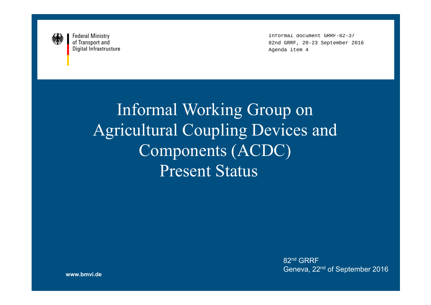

Informal document GRRF-82-37 82nd GRRF, 20-23 September 2016 Agenda item 4

Informal Working Group on Agricultural Coupling Devices and Components (ACDC)Present Status

> $82^{\mathsf{nd}}$  GRRF Geneva, 22nd of September 2016

**www.bmvi.de**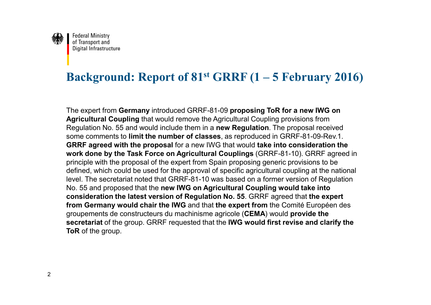

## **Background: Report of 81st GRRF (1 – 5 February 2016)**

The expert from **Germany** introduced GRRF-81-09 **proposing ToR for a new IWG onAgricultural Coupling** that would remove the Agricultural Coupling provisions from Regulation No. 55 and would include them in a **new Regulation**. The proposal received some comments to **limit the number of classes**, as reproduced in GRRF-81-09-Rev.1.**GRRF agreed with the proposal** for a new IWG that would **take into consideration the work done by the Task Force on Agricultural Couplings** (GRRF-81-10). GRRF agreed inprinciple with the proposal of the expert from Spain proposing generic provisions to be defined, which could be used for the approval of specific agricultural coupling at the nationallevel. The secretariat noted that GRRF-81-10 was based on a former version of RegulationNo. 55 and proposed that the **new IWG on Agricultural Coupling would take into consideration the latest version of Regulation No. 55**. GRRF agreed that **the expert from Germany would chair the IWG** and that **the expert from** the Comité Européen desgroupements de constructeurs du machinisme agricole (**CEMA**) would **provide the secretariat** of the group. GRRF requested that the **IWG would first revise and clarify theToR** of the group.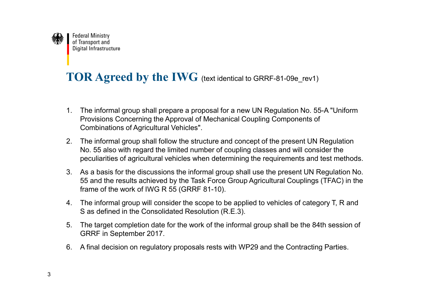

# **TOR Agreed by the IWG** (text identical to GRRF-81-09e\_rev1)

- 1. The informal group shall prepare a proposal for a new UN Regulation No. 55-A "Uniform Provisions Concerning the Approval of Mechanical Coupling Components of Combinations of Agricultural Vehicles".
- 2. The informal group shall follow the structure and concept of the present UN Regulation No. 55 also with regard the limited number of coupling classes and will consider the peculiarities of agricultural vehicles when determining the requirements and test methods.
- 3. As a basis for the discussions the informal group shall use the present UN Regulation No. 55 and the results achieved by the Task Force Group Agricultural Couplings (TFAC) in the frame of the work of IWG R 55 (GRRF 81-10).
- 4. The informal group will consider the scope to be applied to vehicles of category T, R and S as defined in the Consolidated Resolution (R.E.3).
- 5. The target completion date for the work of the informal group shall be the 84th session of GRRF in September 2017.
- 6. A final decision on regulatory proposals rests with WP29 and the Contracting Parties.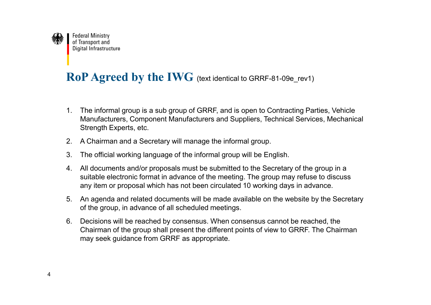

## **RoP Agreed by the IWG** (text identical to GRRF-81-09e\_rev1)

- 1. The informal group is a sub group of GRRF, and is open to Contracting Parties, Vehicle Manufacturers, Component Manufacturers and Suppliers, Technical Services, Mechanical Strength Experts, etc.
- 2. A Chairman and a Secretary will manage the informal group.
- 3. The official working language of the informal group will be English.
- 4. All documents and/or proposals must be submitted to the Secretary of the group in a suitable electronic format in advance of the meeting. The group may refuse to discuss any item or proposal which has not been circulated 10 working days in advance.
- 5. An agenda and related documents will be made available on the website by the Secretary of the group, in advance of all scheduled meetings.
- 6. Decisions will be reached by consensus. When consensus cannot be reached, the Chairman of the group shall present the different points of view to GRRF. The Chairman may seek guidance from GRRF as appropriate.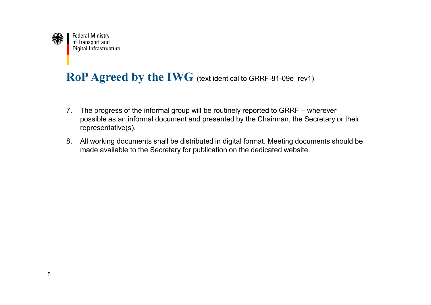

## **RoP Agreed by the IWG** (text identical to GRRF-81-09e\_rev1)

- 7. The progress of the informal group will be routinely reported to GRRF wherever possible as an informal document and presented by the Chairman, the Secretary or their representative(s).
- 8. All working documents shall be distributed in digital format. Meeting documents should be made available to the Secretary for publication on the dedicated website.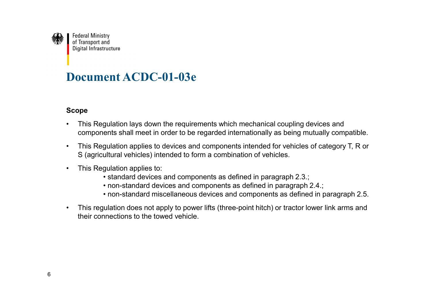

### **Document ACDC-01-03e**

### **Scope**

- • This Regulation lays down the requirements which mechanical coupling devices and components shall meet in order to be regarded internationally as being mutually compatible.
- • This Regulation applies to devices and components intended for vehicles of category T, R or S (agricultural vehicles) intended to form a combination of vehicles.
- • This Regulation applies to:
	- standard devices and components as defined in paragraph 2.3.;
	- non-standard devices and components as defined in paragraph 2.4.;
	- non-standard miscellaneous devices and components as defined in paragraph 2.5.
- • This regulation does not apply to power lifts (three-point hitch) or tractor lower link arms and their connections to the towed vehicle.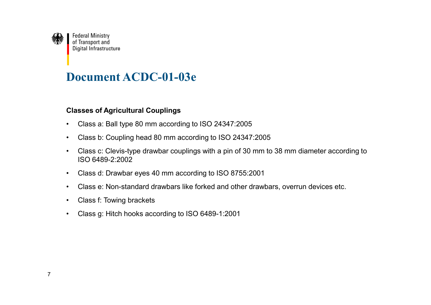

### **Document ACDC-01-03e**

#### **Classes of Agricultural Couplings**

- •Class a: Ball type 80 mm according to ISO 24347:2005
- •Class b: Coupling head 80 mm according to ISO 24347:2005
- • Class c: Clevis-type drawbar couplings with a pin of 30 mm to 38 mm diameter according to ISO 6489-2:2002
- •Class d: Drawbar eyes 40 mm according to ISO 8755:2001
- •Class e: Non-standard drawbars like forked and other drawbars, overrun devices etc.
- •Class f: Towing brackets
- •Class g: Hitch hooks according to ISO 6489-1:2001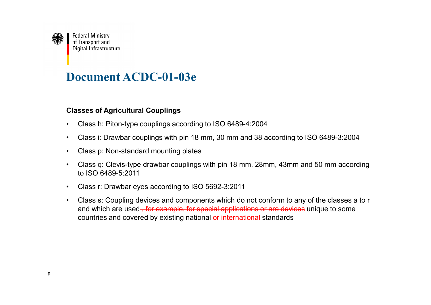

### **Document ACDC-01-03e**

#### **Classes of Agricultural Couplings**

- •Class h: Piton-type couplings according to ISO 6489-4:2004
- •Class i: Drawbar couplings with pin 18 mm, 30 mm and 38 according to ISO 6489-3:2004
- •Class p: Non-standard mounting plates
- • Class q: Clevis-type drawbar couplings with pin 18 mm, 28mm, 43mm and 50 mm according to ISO 6489-5:2011
- •Class r: Drawbar eyes according to ISO 5692-3:2011
- • Class s: Coupling devices and components which do not conform to any of the classes a to r and which are used<del>,for example, for special applications or are devices</del> unique to some countries and covered by existing national or international standards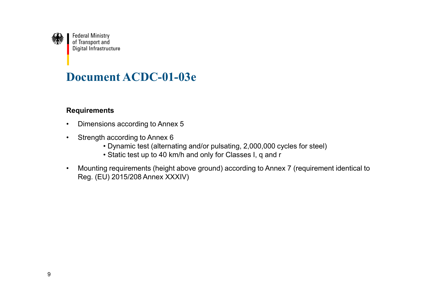

### **Document ACDC-01-03e**

#### **Requirements**

- •Dimensions according to Annex 5
- • Strength according to Annex 6
	- Dynamic test (alternating and/or pulsating, 2,000,000 cycles for steel)
	- Static test up to 40 km/h and only for Classes I, q and r
- • Mounting requirements (height above ground) according to Annex 7 (requirement identical to Reg. (EU) 2015/208 Annex XXXIV)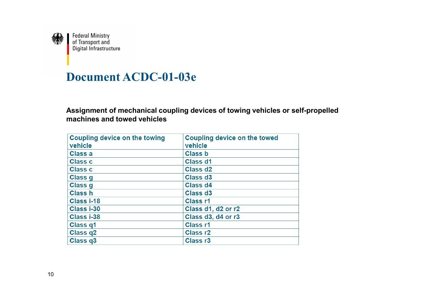

### **Document ACDC-01-03e**

**Assignment of mechanical coupling devices of towing vehicles or self-propelledmachines and towed vehicles**

| <b>Coupling device on the towing</b><br>vehicle | <b>Coupling device on the towed</b><br>vehicle |
|-------------------------------------------------|------------------------------------------------|
| Class a                                         | <b>Class b</b>                                 |
| <b>Class c</b>                                  | Class d1                                       |
| <b>Class c</b>                                  | Class d <sub>2</sub>                           |
| Class g                                         | Class d <sub>3</sub>                           |
| Class g                                         | Class d4                                       |
| <b>Class h</b>                                  | Class d <sub>3</sub>                           |
| Class i-18                                      | <b>Class r1</b>                                |
| Class i-30                                      | Class d1, d2 or r2                             |
| Class i-38                                      | Class d3, d4 or r3                             |
| Class q1                                        | <b>Class r1</b>                                |
| Class q2                                        | <b>Class r2</b>                                |
| Class q3                                        | Class <sub>r3</sub>                            |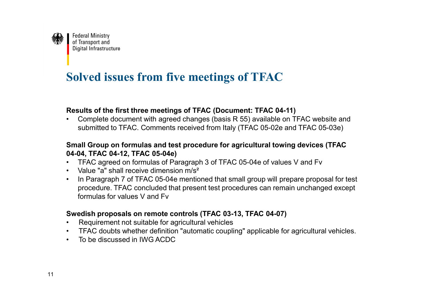

## **Solved issues from five meetings of TFAC**

#### **Results of the first three meetings of TFAC (Document: TFAC 04-11)**

Complete document with agreed changes (basis R 55) available on TFAC website and<br>exhaulted to TEAC. Commante resolved from Italy (TEAC OF 020 and TEAC OF 020) •submitted to TFAC. Comments received from Italy (TFAC 05-02e and TFAC 05-03e)

### **Small Group on formulas and test procedure for agricultural towing devices (TFAC04-04, TFAC 04-12, TFAC 05-04e)**

- TFAC agreed on formulas of Paragraph 3 of TFAC 05-04e of values V and Fv<br>
Nelue "e" shell ressive dimension m/s<sup>2</sup>
- Value "a" shall receive dimension m/s<del>?</del><br>· <sup>In Desearanh 7 ef TEAC 05,04e mentio</sup>
- In Paragraph 7 of TFAC 05-04e mentioned that small group will prepare proposal for test procedure. TFAC concluded that present test procedures can remain unchanged except formulas for values V and Fv

### **Swedish proposals on remote controls (TFAC 03-13, TFAC 04-07)**

- Requirement not suitable for agricultural vehicles
- TFAC doubts whether definition "automatic coupling" applicable for agricultural vehicles.
- To be discussed in IWG ACDC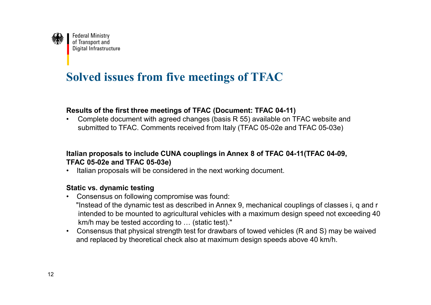

## **Solved issues from five meetings of TFAC**

#### **Results of the first three meetings of TFAC (Document: TFAC 04-11)**

Complete document with agreed changes (basis R 55) available on TFAC website and<br>exhaulted to TEAC. Commante resolved from Italy (TEAC OF 020 and TEAC OF 020) •submitted to TFAC. Comments received from Italy (TFAC 05-02e and TFAC 05-03e)

### **Italian proposals to include CUNA couplings in Annex 8 of TFAC 04-11(TFAC 04-09,TFAC 05-02e and TFAC 05-03e)**

• Italian proposals will be considered in the next working document.

#### **Static vs. dynamic testing**

- Consensus on following compromise was found:"Instead of the dynamic test as described in Annex 9, mechanical couplings of classes i, q and r intended to be mounted to agricultural vehicles with a maximum design speed not exceeding 40 $km/h$  may be tested according to  $\ldots$  (static test)."
- Consensus that physical strength test for drawbars of towed vehicles (R and S) may be waivedand replaced by theoretical check also at maximum design speeds above 40 km/h.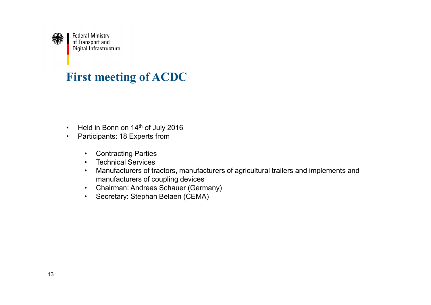

### **First meeting of ACDC**

- •Held in Bonn on 14<sup>th</sup> of July 2016
- • Participants: 18 Experts from
	- •Contracting Parties
	- •Technical Services
	- • Manufacturers of tractors, manufacturers of agricultural trailers and implements and manufacturers of coupling devices
	- Chairman: Andreas Schauer (Germany) •
	- •Secretary: Stephan Belaen (CEMA)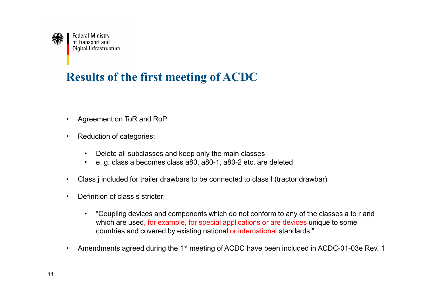

# **Results of the first meeting of ACDC**

- •Agreement on ToR and RoP
- • Reduction of categories:
	- •Delete all subclasses and keep only the main classes
	- •e. g. class a becomes class a80, a80-1, a80-2 etc. are deleted
- •Class j included for trailer drawbars to be connected to class I (tractor drawbar)
- •Definition of class s stricter:
	- • "Coupling devices and components which do not conform to any of the classes a to r and which are used<del>, for example, for special applications or are devices</del> unique to some countries and covered by existing national or international standards."
- •Amendments agreed during the 1<sup>st</sup> meeting of ACDC have been included in ACDC-01-03e Rev. 1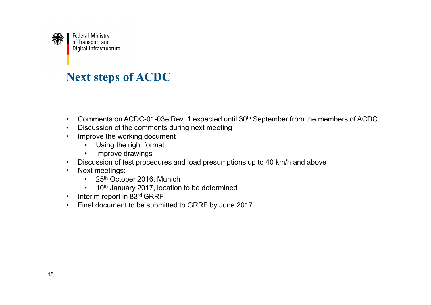

## **Next steps of ACDC**

- •Comments on ACDC-01-03e Rev. 1 expected until 30th September from the members of ACDC
- •Discussion of the comments during next meeting
- • Improve the working document
	- •Using the right format
	- •Improve drawings
- •Discussion of test procedures and load presumptions up to 40 km/h and above
- • Next meetings:
	- <sup>25</sup>th October 2016, Munich
	- •10<sup>th</sup> January 2017, location to be determined
- •Interim report in 83rd GRRF
- •Final document to be submitted to GRRF by June 2017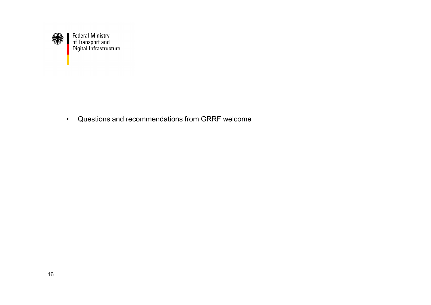

• Questions and recommendations from GRRF welcome